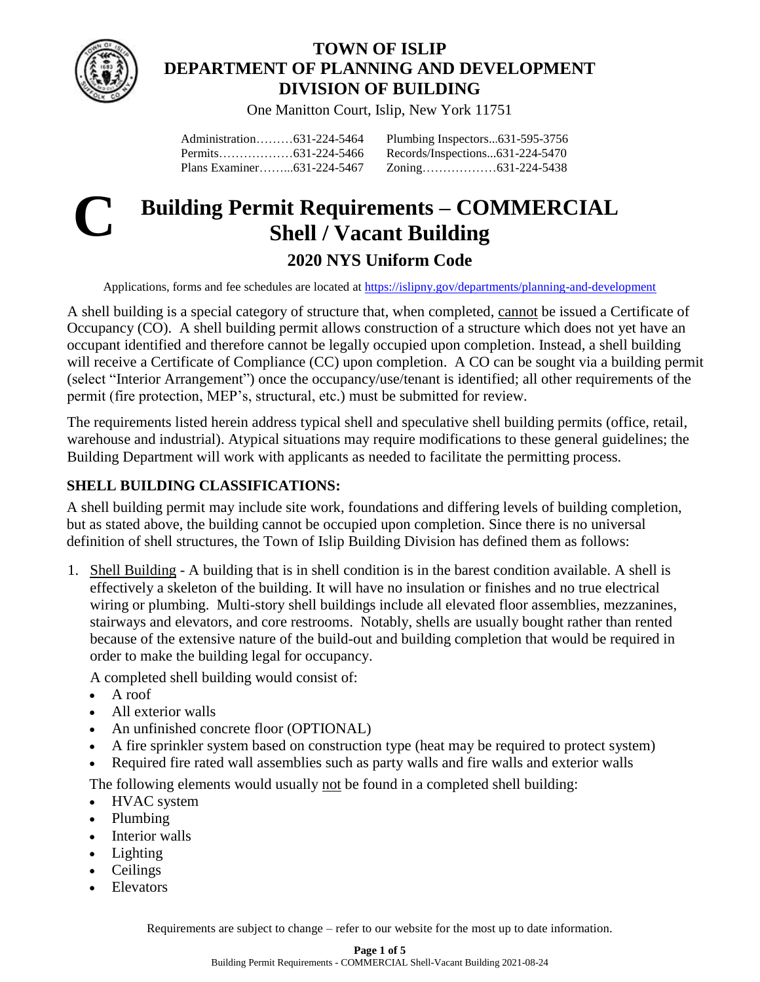

## **TOWN OF ISLIP DEPARTMENT OF PLANNING AND DEVELOPMENT DIVISION OF BUILDING**

One Manitton Court, Islip, New York 11751

Administration………631-224-5464 Permits………………631-224-5466 Plans Examiner……...631-224-5467 Plumbing Inspectors...631-595-3756 Records/Inspections...631-224-5470 Zoning………………631-224-5438

# **C**

## **Building Permit Requirements – COMMERCIAL Shell / Vacant Building 2020 NYS Uniform Code**

Applications, forms and fee schedules are located at [https://islipny.gov/departments/planning-and-development](https://islipny.gov/departments/planning-and-development/building-division-permits-section)

A shell building is a special category of structure that, when completed, cannot be issued a Certificate of Occupancy (CO). A shell building permit allows construction of a structure which does not yet have an occupant identified and therefore cannot be legally occupied upon completion. Instead, a shell building will receive a Certificate of Compliance (CC) upon completion. A CO can be sought via a building permit (select "Interior Arrangement") once the occupancy/use/tenant is identified; all other requirements of the permit (fire protection, MEP's, structural, etc.) must be submitted for review.

The requirements listed herein address typical shell and speculative shell building permits (office, retail, warehouse and industrial). Atypical situations may require modifications to these general guidelines; the Building Department will work with applicants as needed to facilitate the permitting process.

## **SHELL BUILDING CLASSIFICATIONS:**

A shell building permit may include site work, foundations and differing levels of building completion, but as stated above, the building cannot be occupied upon completion. Since there is no universal definition of shell structures, the Town of Islip Building Division has defined them as follows:

1. Shell Building - A building that is in shell condition is in the barest condition available. A shell is effectively a skeleton of the building. It will have no insulation or finishes and no true electrical wiring or plumbing. Multi-story shell buildings include all elevated floor assemblies, mezzanines, stairways and elevators, and core restrooms. Notably, shells are usually bought rather than rented because of the extensive nature of the build-out and building completion that would be required in order to make the building legal for occupancy.

A completed shell building would consist of:

- A roof
- All exterior walls
- An unfinished concrete floor (OPTIONAL)
- A fire sprinkler system based on construction type (heat may be required to protect system)
- Required fire rated wall assemblies such as party walls and fire walls and exterior walls

The following elements would usually not be found in a completed shell building:

- HVAC system
- Plumbing
- Interior walls
- Lighting
- Ceilings
- **Elevators**

Requirements are subject to change – refer to our website for the most up to date information.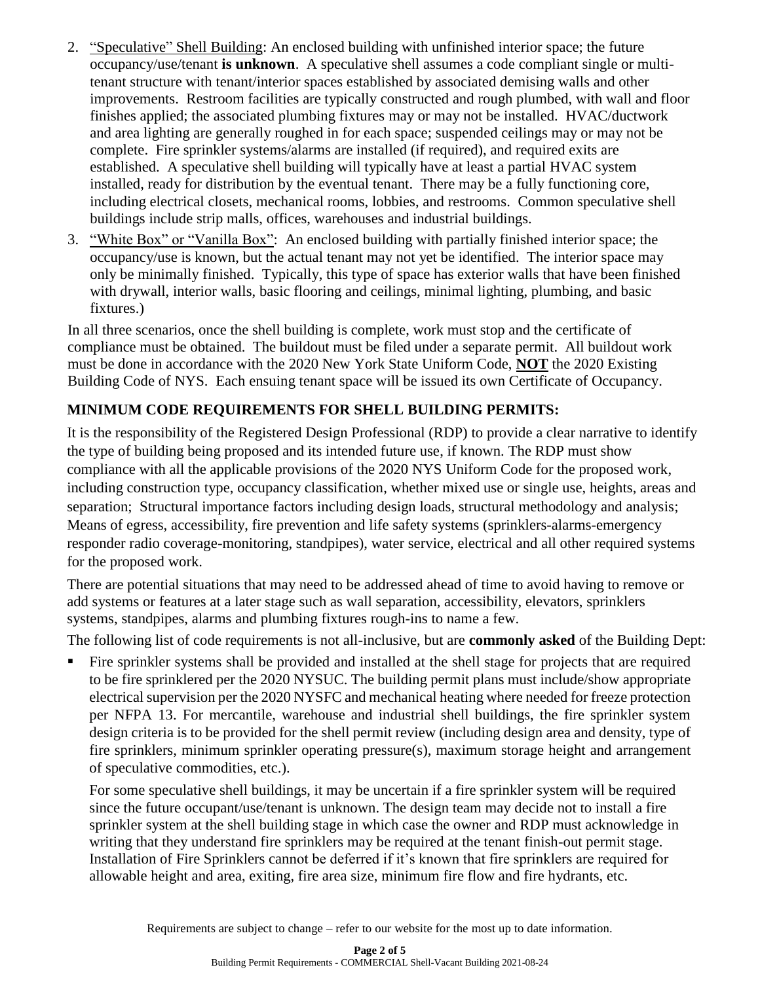- 2. "Speculative" Shell Building: An enclosed building with unfinished interior space; the future occupancy/use/tenant **is unknown**. A speculative shell assumes a code compliant single or multitenant structure with tenant/interior spaces established by associated demising walls and other improvements. Restroom facilities are typically constructed and rough plumbed, with wall and floor finishes applied; the associated plumbing fixtures may or may not be installed. HVAC/ductwork and area lighting are generally roughed in for each space; suspended ceilings may or may not be complete. Fire sprinkler systems/alarms are installed (if required), and required exits are established. A speculative shell building will typically have at least a partial HVAC system installed, ready for distribution by the eventual tenant. There may be a fully functioning core, including electrical closets, mechanical rooms, lobbies, and restrooms. Common speculative shell buildings include strip malls, offices, warehouses and industrial buildings.
- 3. "White Box" or "Vanilla Box": An enclosed building with partially finished interior space; the occupancy/use is known, but the actual tenant may not yet be identified. The interior space may only be minimally finished. Typically, this type of space has exterior walls that have been finished with drywall, interior walls, basic flooring and ceilings, minimal lighting, plumbing, and basic fixtures.)

In all three scenarios, once the shell building is complete, work must stop and the certificate of compliance must be obtained. The buildout must be filed under a separate permit. All buildout work must be done in accordance with the 2020 New York State Uniform Code, **NOT** the 2020 Existing Building Code of NYS. Each ensuing tenant space will be issued its own Certificate of Occupancy.

## **MINIMUM CODE REQUIREMENTS FOR SHELL BUILDING PERMITS:**

It is the responsibility of the Registered Design Professional (RDP) to provide a clear narrative to identify the type of building being proposed and its intended future use, if known. The RDP must show compliance with all the applicable provisions of the 2020 NYS Uniform Code for the proposed work, including construction type, occupancy classification, whether mixed use or single use, heights, areas and separation; Structural importance factors including design loads, structural methodology and analysis; Means of egress, accessibility, fire prevention and life safety systems (sprinklers-alarms-emergency responder radio coverage-monitoring, standpipes), water service, electrical and all other required systems for the proposed work.

There are potential situations that may need to be addressed ahead of time to avoid having to remove or add systems or features at a later stage such as wall separation, accessibility, elevators, sprinklers systems, standpipes, alarms and plumbing fixtures rough-ins to name a few.

The following list of code requirements is not all-inclusive, but are **commonly asked** of the Building Dept:

Fire sprinkler systems shall be provided and installed at the shell stage for projects that are required to be fire sprinklered per the 2020 NYSUC. The building permit plans must include/show appropriate electrical supervision per the 2020 NYSFC and mechanical heating where needed for freeze protection per NFPA 13. For mercantile, warehouse and industrial shell buildings, the fire sprinkler system design criteria is to be provided for the shell permit review (including design area and density, type of fire sprinklers, minimum sprinkler operating pressure(s), maximum storage height and arrangement of speculative commodities, etc.).

For some speculative shell buildings, it may be uncertain if a fire sprinkler system will be required since the future occupant/use/tenant is unknown. The design team may decide not to install a fire sprinkler system at the shell building stage in which case the owner and RDP must acknowledge in writing that they understand fire sprinklers may be required at the tenant finish-out permit stage. Installation of Fire Sprinklers cannot be deferred if it's known that fire sprinklers are required for allowable height and area, exiting, fire area size, minimum fire flow and fire hydrants, etc.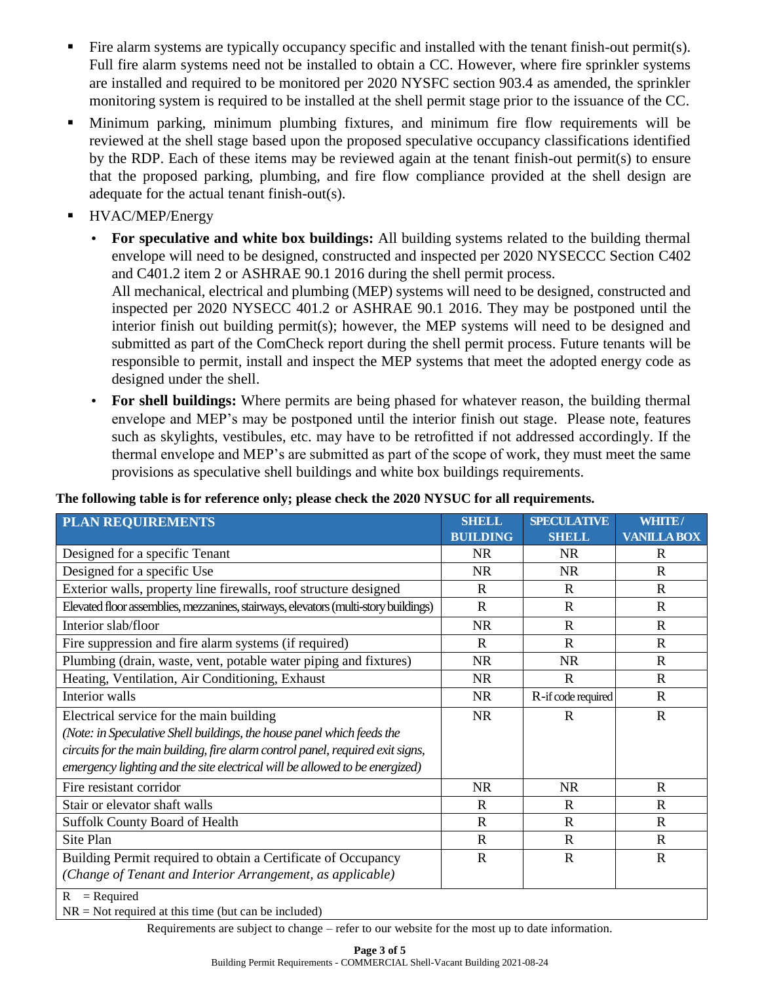- Fire alarm systems are typically occupancy specific and installed with the tenant finish-out permit(s). Full fire alarm systems need not be installed to obtain a CC. However, where fire sprinkler systems are installed and required to be monitored per 2020 NYSFC section 903.4 as amended, the sprinkler monitoring system is required to be installed at the shell permit stage prior to the issuance of the CC.
- Minimum parking, minimum plumbing fixtures, and minimum fire flow requirements will be reviewed at the shell stage based upon the proposed speculative occupancy classifications identified by the RDP. Each of these items may be reviewed again at the tenant finish-out permit(s) to ensure that the proposed parking, plumbing, and fire flow compliance provided at the shell design are adequate for the actual tenant finish-out(s).
- HVAC/MEP/Energy
	- **For speculative and white box buildings:** All building systems related to the building thermal envelope will need to be designed, constructed and inspected per 2020 NYSECCC Section C402 and C401.2 item 2 or ASHRAE 90.1 2016 during the shell permit process.

All mechanical, electrical and plumbing (MEP) systems will need to be designed, constructed and inspected per 2020 NYSECC 401.2 or ASHRAE 90.1 2016. They may be postponed until the interior finish out building permit(s); however, the MEP systems will need to be designed and submitted as part of the ComCheck report during the shell permit process. Future tenants will be responsible to permit, install and inspect the MEP systems that meet the adopted energy code as designed under the shell.

• **For shell buildings:** Where permits are being phased for whatever reason, the building thermal envelope and MEP's may be postponed until the interior finish out stage. Please note, features such as skylights, vestibules, etc. may have to be retrofitted if not addressed accordingly. If the thermal envelope and MEP's are submitted as part of the scope of work, they must meet the same provisions as speculative shell buildings and white box buildings requirements.

### **The following table is for reference only; please check the 2020 NYSUC for all requirements.**

| <b>PLAN REQUIREMENTS</b>                                                            | <b>SHELL</b>    | <b>SPECULATIVE</b> | WHITE/             |
|-------------------------------------------------------------------------------------|-----------------|--------------------|--------------------|
|                                                                                     | <b>BUILDING</b> | <b>SHELL</b>       | <b>VANILLA BOX</b> |
| Designed for a specific Tenant                                                      | <b>NR</b>       | <b>NR</b>          | R                  |
| Designed for a specific Use                                                         | <b>NR</b>       | <b>NR</b>          | $\mathbf{R}$       |
| Exterior walls, property line firewalls, roof structure designed                    | $\mathbf R$     | $\mathbb{R}$       | $\mathbf R$        |
| Elevated floor assemblies, mezzanines, stairways, elevators (multi-story buildings) | $\mathbf R$     | $\mathbb{R}$       | $\mathbf{R}$       |
| Interior slab/floor                                                                 | <b>NR</b>       | R                  | $\mathbf R$        |
| Fire suppression and fire alarm systems (if required)                               | R               | $\mathbf R$        | $\mathbf{R}$       |
| Plumbing (drain, waste, vent, potable water piping and fixtures)                    | <b>NR</b>       | <b>NR</b>          | $\mathbf R$        |
| Heating, Ventilation, Air Conditioning, Exhaust                                     | <b>NR</b>       | $\mathbf R$        | $\mathbf{R}$       |
| Interior walls                                                                      | NR.             | R-if code required | $\mathbf R$        |
| Electrical service for the main building                                            | <b>NR</b>       | $\mathbf R$        | $\mathbf R$        |
| (Note: in Speculative Shell buildings, the house panel which feeds the              |                 |                    |                    |
| circuits for the main building, fire alarm control panel, required exit signs,      |                 |                    |                    |
| emergency lighting and the site electrical will be allowed to be energized)         |                 |                    |                    |
| Fire resistant corridor                                                             | <b>NR</b>       | <b>NR</b>          | $\mathbf R$        |
| Stair or elevator shaft walls                                                       | $\mathbf R$     | R                  | $\mathbf R$        |
| <b>Suffolk County Board of Health</b>                                               | $\mathbb{R}$    | R                  | $\mathbb{R}$       |
| Site Plan                                                                           | $\mathbf R$     | $\mathbb{R}$       | $\mathbf{R}$       |
| Building Permit required to obtain a Certificate of Occupancy                       | $\mathbf R$     | $\mathbf R$        | $\mathbf R$        |
| (Change of Tenant and Interior Arrangement, as applicable)                          |                 |                    |                    |
| $=$ Required<br>R<br>.                                                              |                 |                    |                    |

 $N = Not required at this time (but can be included)$ 

Requirements are subject to change – refer to our website for the most up to date information.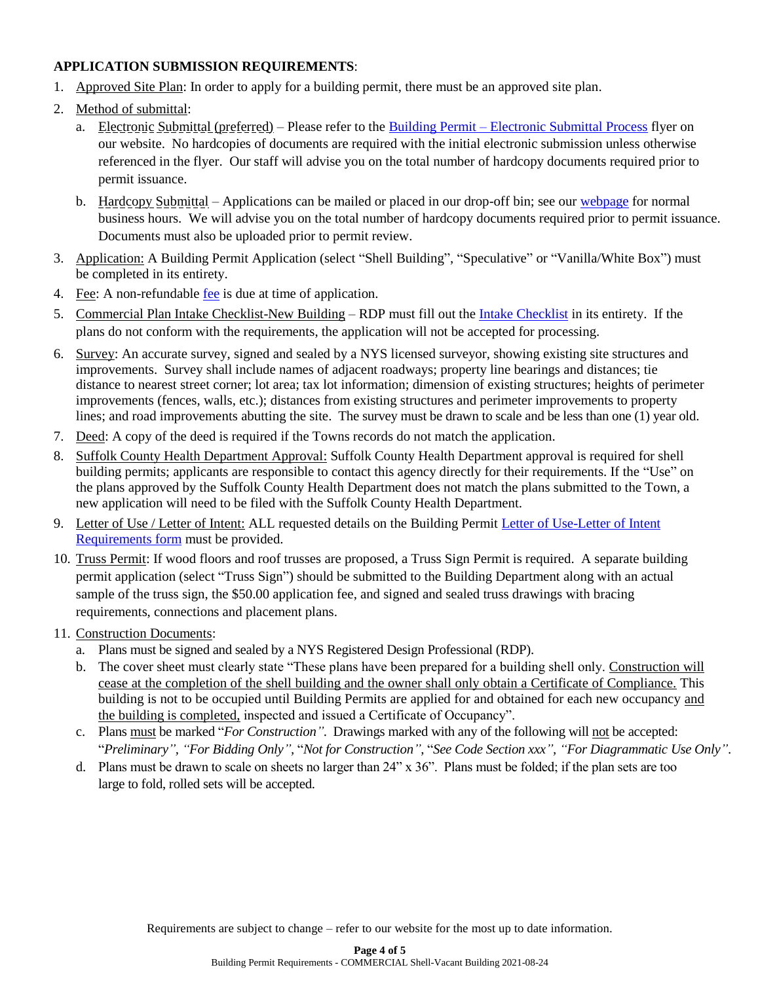### **APPLICATION SUBMISSION REQUIREMENTS**:

- 1. Approved Site Plan: In order to apply for a building permit, there must be an approved site plan.
- 2. Method of submittal:
	- a. Electronic Submittal (preferred) Please refer to the Building Permit [Electronic Submittal Process](https://islipny.gov/building-division-permits-list/986-document-upload-instructions-for-electronic-submissions-building/file) flyer on our website. No hardcopies of documents are required with the initial electronic submission unless otherwise referenced in the flyer. Our staff will advise you on the total number of hardcopy documents required prior to permit issuance.
	- b. Hardcopy Submittal Applications can be mailed or placed in our drop-off bin; see our [webpage](https://islipny.gov/departments/planning-and-development/building-division-permits-section) for normal business hours. We will advise you on the total number of hardcopy documents required prior to permit issuance. Documents must also be uploaded prior to permit review.
- 3. Application: A Building Permit Application (select "Shell Building", "Speculative" or "Vanilla/White Box") must be completed in its entirety.
- 4. Fee: A non-refundable [fee](https://www.islipny.gov/building-division-permits-list/49-fee-schedule-for-the-building-division-residential/file) is due at time of application.
- 5. Commercial Plan Intake Checklist-New Building RDP must fill out the [Intake Checklist](file://///pddata/blddata/Administration/Applications%20&%20Forms/Amendment%20to%20Certificate%20of%20Occuhttps:/islipny.gov/building-division-permits-list/1040-building-permit-requirements-commercial-plan-intake-checklist-new-building/filepancy%20Permit%20Application%202019-02-13.pdf) in its entirety. If the plans do not conform with the requirements, the application will not be accepted for processing.
- 6. Survey: An accurate survey, signed and sealed by a NYS licensed surveyor, showing existing site structures and improvements. Survey shall include names of adjacent roadways; property line bearings and distances; tie distance to nearest street corner; lot area; tax lot information; dimension of existing structures; heights of perimeter improvements (fences, walls, etc.); distances from existing structures and perimeter improvements to property lines; and road improvements abutting the site. The survey must be drawn to scale and be less than one (1) year old.
- 7. Deed: A copy of the deed is required if the Towns records do not match the application.
- 8. Suffolk County Health Department Approval: Suffolk County Health Department approval is required for shell building permits; applicants are responsible to contact this agency directly for their requirements. If the "Use" on the plans approved by the Suffolk County Health Department does not match the plans submitted to the Town, a new application will need to be filed with the Suffolk County Health Department.
- 9. Letter of Use / Letter of Intent: ALL requested details on the Building Permit [Letter of Use-Letter of Intent](https://islipny.gov/building-division-permits-list/847-letter-of-use-letter-of-intent-requirements/file)  [Requirements form](https://islipny.gov/building-division-permits-list/847-letter-of-use-letter-of-intent-requirements/file) must be provided.
- 10. Truss Permit: If wood floors and roof trusses are proposed, a Truss Sign Permit is required. A separate building permit application (select "Truss Sign") should be submitted to the Building Department along with an actual sample of the truss sign, the \$50.00 application fee, and signed and sealed truss drawings with bracing requirements, connections and placement plans.
- 11. Construction Documents:
	- a. Plans must be signed and sealed by a NYS Registered Design Professional (RDP).
	- b. The cover sheet must clearly state "These plans have been prepared for a building shell only. Construction will cease at the completion of the shell building and the owner shall only obtain a Certificate of Compliance. This building is not to be occupied until Building Permits are applied for and obtained for each new occupancy and the building is completed, inspected and issued a Certificate of Occupancy".
	- c. Plans must be marked "*For Construction"*. Drawings marked with any of the following will not be accepted: "*Preliminary", "For Bidding Only",* "*Not for Construction"*, "*See Code Section xxx", "For Diagrammatic Use Only"*.
	- d. Plans must be drawn to scale on sheets no larger than 24" x 36". Plans must be folded; if the plan sets are too large to fold, rolled sets will be accepted.

Requirements are subject to change – refer to our website for the most up to date information.